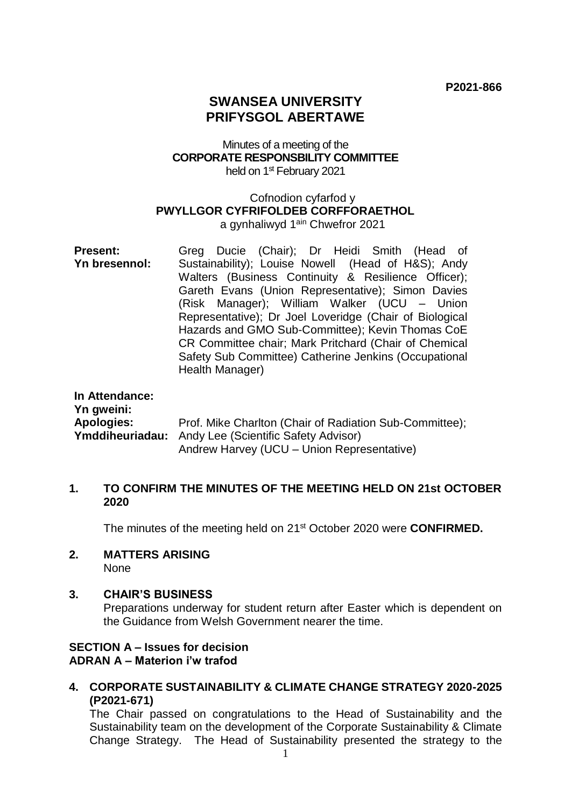# **SWANSEA UNIVERSITY PRIFYSGOL ABERTAWE**

# Minutes of a meeting of the **CORPORATE RESPONSBILITY COMMITTEE** held on 1<sup>st</sup> February 2021

# Cofnodion cyfarfod y **PWYLLGOR CYFRIFOLDEB CORFFORAETHOL**

a gynhaliwyd 1<sup>ain</sup> Chwefror 2021

**Present: Yn bresennol:** Greg Ducie (Chair); Dr Heidi Smith (Head of Sustainability); Louise Nowell (Head of H&S); Andy Walters (Business Continuity & Resilience Officer); Gareth Evans (Union Representative); Simon Davies (Risk Manager); William Walker (UCU – Union Representative); Dr Joel Loveridge (Chair of Biological Hazards and GMO Sub-Committee); Kevin Thomas CoE CR Committee chair; Mark Pritchard (Chair of Chemical Safety Sub Committee) Catherine Jenkins (Occupational Health Manager)

| In Attendance:<br>Yn gweini: |                                                         |
|------------------------------|---------------------------------------------------------|
| Apologies:                   | Prof. Mike Charlton (Chair of Radiation Sub-Committee); |
|                              | Ymddiheuriadau: Andy Lee (Scientific Safety Advisor)    |
|                              | Andrew Harvey (UCU - Union Representative)              |

# **1. TO CONFIRM THE MINUTES OF THE MEETING HELD ON 21st OCTOBER 2020**

The minutes of the meeting held on 21st October 2020 were **CONFIRMED.**

#### **2. MATTERS ARISING**  None

# **3. CHAIR'S BUSINESS**

Preparations underway for student return after Easter which is dependent on the Guidance from Welsh Government nearer the time.

# **SECTION A – Issues for decision ADRAN A – Materion i'w trafod**

**4. CORPORATE SUSTAINABILITY & CLIMATE CHANGE STRATEGY 2020-2025 (P2021-671)** 

The Chair passed on congratulations to the Head of Sustainability and the Sustainability team on the development of the Corporate Sustainability & Climate Change Strategy. The Head of Sustainability presented the strategy to the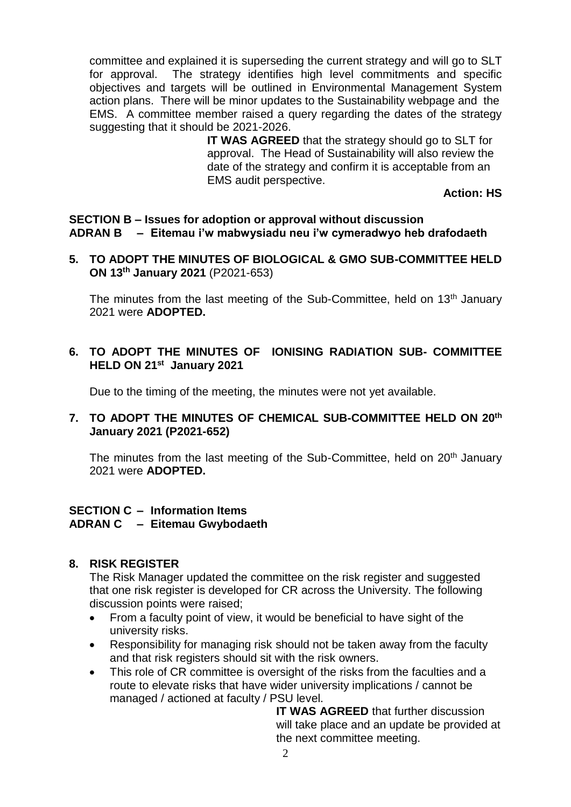committee and explained it is superseding the current strategy and will go to SLT for approval. The strategy identifies high level commitments and specific objectives and targets will be outlined in Environmental Management System action plans. There will be minor updates to the Sustainability webpage and the EMS.A committee member raised a query regarding the dates of the strategy suggesting that it should be 2021-2026.

**IT WAS AGREED** that the strategy should go to SLT for approval. The Head of Sustainability will also review the date of the strategy and confirm it is acceptable from an EMS audit perspective.

**Action: HS**

**SECTION B – Issues for adoption or approval without discussion ADRAN B – Eitemau i'w mabwysiadu neu i'w cymeradwyo heb drafodaeth**

**5. TO ADOPT THE MINUTES OF BIOLOGICAL & GMO SUB-COMMITTEE HELD ON 13th January 2021** (P2021-653)

The minutes from the last meeting of the Sub-Committee, held on 13<sup>th</sup> January 2021 were **ADOPTED.**

# **6. TO ADOPT THE MINUTES OF IONISING RADIATION SUB- COMMITTEE HELD ON 21st January 2021**

Due to the timing of the meeting, the minutes were not yet available.

# **7. TO ADOPT THE MINUTES OF CHEMICAL SUB-COMMITTEE HELD ON 20th January 2021 (P2021-652)**

The minutes from the last meeting of the Sub-Committee, held on 20<sup>th</sup> January 2021 were **ADOPTED.**

# **SECTION C – Information Items ADRAN C – Eitemau Gwybodaeth**

# **8. RISK REGISTER**

The Risk Manager updated the committee on the risk register and suggested that one risk register is developed for CR across the University. The following discussion points were raised;

- From a faculty point of view, it would be beneficial to have sight of the university risks.
- Responsibility for managing risk should not be taken away from the faculty and that risk registers should sit with the risk owners.
- This role of CR committee is oversight of the risks from the faculties and a route to elevate risks that have wider university implications / cannot be managed / actioned at faculty / PSU level.

**IT WAS AGREED** that further discussion will take place and an update be provided at the next committee meeting.